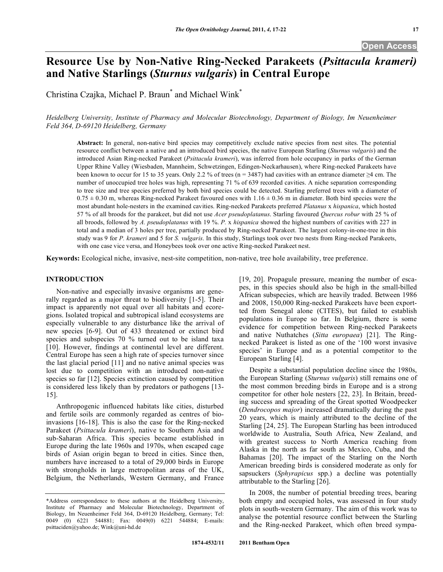# **Resource Use by Non-Native Ring-Necked Parakeets (***Psittacula krameri)* **and Native Starlings (***Sturnus vulgaris***) in Central Europe**

Christina Czajka, Michael P. Braun\* and Michael Wink\*

*Heidelberg University, Institute of Pharmacy and Molecular Biotechnology, Department of Biology, Im Neuenheimer Feld 364, D-69120 Heidelberg, Germany*

**Abstract:** In general, non-native bird species may competitively exclude native species from nest sites. The potential resource conflict between a native and an introduced bird species, the native European Starling (*Sturnus vulgaris*) and the introduced Asian Ring-necked Parakeet (*Psittacula krameri*), was inferred from hole occupancy in parks of the German Upper Rhine Valley (Wiesbaden, Mannheim, Schwetzingen, Edingen-Neckarhausen), where Ring-necked Parakeets have been known to occur for 15 to 35 years. Only 2.2 % of trees (n = 3487) had cavities with an entrance diameter ≥4 cm. The number of unoccupied tree holes was high, representing 71 % of 639 recorded cavities. A niche separation corresponding to tree size and tree species preferred by both bird species could be detected. Starling preferred trees with a diameter of  $0.75 \pm 0.30$  m, whereas Ring-necked Parakeet favoured ones with  $1.16 \pm 0.36$  m in diameter. Both bird species were the most abundant hole-nesters in the examined cavities. Ring-necked Parakeets preferred *Platanus* x *hispanica*, which hosted 57 % of all broods for the parakeet, but did not use *Acer pseudoplatanus*. Starling favoured *Quercus robur* with 25 % of all broods, followed by *A. pseudoplatanus* with 19 %. *P.* x *hispanica* showed the highest numbers of cavities with 227 in total and a median of 3 holes per tree, partially produced by Ring-necked Parakeet. The largest colony-in-one-tree in this study was 9 for *P. krameri* and 5 for *S. vulgaris*. In this study, Starlings took over two nests from Ring-necked Parakeets, with one case vice versa, and Honeybees took over one active Ring-necked Parakeet nest.

**Keywords:** Ecological niche, invasive, nest-site competition, non-native, tree hole availability, tree preference.

# **INTRODUCTION**

Non-native and especially invasive organisms are generally regarded as a major threat to biodiversity [1-5]. Their impact is apparently not equal over all habitats and ecoregions. Isolated tropical and subtropical island ecosystems are especially vulnerable to any disturbance like the arrival of new species [6-9]. Out of 433 threatened or extinct bird species and subspecies 70 % turned out to be island taxa [10]. However, findings at continental level are different. Central Europe has seen a high rate of species turnover since the last glacial period [11] and no native animal species was lost due to competition with an introduced non-native species so far [12]. Species extinction caused by competition is considered less likely than by predators or pathogens [13- 15].

Anthropogenic influenced habitats like cities, disturbed and fertile soils are commonly regarded as centres of bioinvasions [16-18]. This is also the case for the Ring-necked Parakeet (*Psittacula krameri*), native to Southern Asia and sub-Saharan Africa. This species became established in Europe during the late 1960s and 1970s, when escaped cage birds of Asian origin began to breed in cities. Since then, numbers have increased to a total of 29,000 birds in Europe with strongholds in large metropolitan areas of the UK, Belgium, the Netherlands, Western Germany, and France

[19, 20]. Propagule pressure, meaning the number of escapes, in this species should also be high in the small-billed African subspecies, which are heavily traded. Between 1986 and 2008, 150,000 Ring-necked Parakeets have been exportted from Senegal alone (CITES), but failed to establish populations in Europe so far. In Belgium, there is some evidence for competition between Ring-necked Parakeets and native Nuthatches (*Sitta europaea*) [21]. The Ringnecked Parakeet is listed as one of the '100 worst invasive species' in Europe and as a potential competitor to the European Starling [4].

Despite a substantial population decline since the 1980s, the European Starling (*Sturnus vulgaris*) still remains one of the most common breeding birds in Europe and is a strong competitor for other hole nesters [22, 23]. In Britain, breeding success and spreading of the Great spotted Woodpecker (*Dendrocopos major*) increased dramatically during the past 20 years, which is mainly attributed to the decline of the Starling [24, 25]. The European Starling has been introduced worldwide to Australia, South Africa, New Zealand, and with greatest success to North America reaching from Alaska in the north as far south as Mexico, Cuba, and the Bahamas [20]. The impact of the Starling on the North American breeding birds is considered moderate as only for sapsuckers (*Sphyrapicus* spp.) a decline was potentially attributable to the Starling [26].

In 2008, the number of potential breeding trees, bearing both empty and occupied holes, was assessed in four study plots in south-western Germany. The aim of this work was to analyse the potential resource conflict between the Starling and the Ring-necked Parakeet, which often breed sympa-

<sup>\*</sup>Address correspondence to these authors at the Heidelberg University, Institute of Pharmacy and Molecular Biotechnology, Department of Biology, Im Neuenheimer Feld 364, D-69120 Heidelberg, Germany; Tel: 0049 (0) 6221 544881; Fax: 0049(0) 6221 544884; E-mails: psittaciden@yahoo.de; Wink@uni-hd.de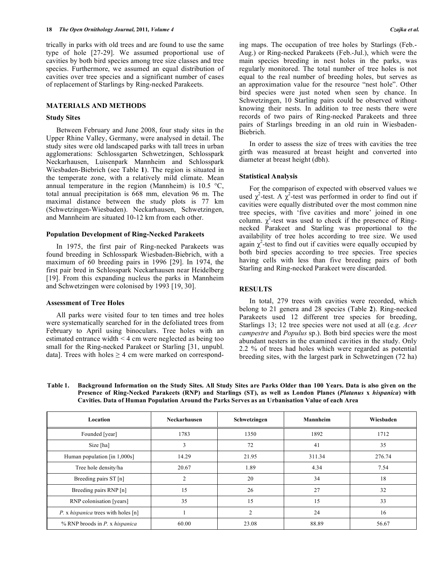trically in parks with old trees and are found to use the same type of hole [27-29]. We assumed proportional use of cavities by both bird species among tree size classes and tree species. Furthermore, we assumed an equal distribution of cavities over tree species and a significant number of cases of replacement of Starlings by Ring-necked Parakeets.

## **MATERIALS AND METHODS**

# **Study Sites**

Between February and June 2008, four study sites in the Upper Rhine Valley, Germany, were analysed in detail. The study sites were old landscaped parks with tall trees in urban agglomerations: Schlossgarten Schwetzingen, Schlosspark Neckarhausen, Luisenpark Mannheim and Schlosspark Wiesbaden-Biebrich (see Table **1**). The region is situated in the temperate zone, with a relatively mild climate. Mean annual temperature in the region (Mannheim) is  $10.5 \text{ °C}$ , total annual precipitation is 668 mm, elevation 96 m. The maximal distance between the study plots is 77 km (Schwetzingen-Wiesbaden). Neckarhausen, Schwetzingen, and Mannheim are situated 10-12 km from each other.

## **Population Development of Ring-Necked Parakeets**

In 1975, the first pair of Ring-necked Parakeets was found breeding in Schlosspark Wiesbaden-Biebrich, with a maximum of 60 breeding pairs in 1996 [29]. In 1974, the first pair bred in Schlosspark Neckarhausen near Heidelberg [19]. From this expanding nucleus the parks in Mannheim and Schwetzingen were colonised by 1993 [19, 30].

## **Assessment of Tree Holes**

All parks were visited four to ten times and tree holes were systematically searched for in the defoliated trees from February to April using binoculars. Tree holes with an estimated entrance width < 4 cm were neglected as being too small for the Ring-necked Parakeet or Starling [31, unpubl. data]. Trees with holes  $\geq 4$  cm were marked on corresponding maps. The occupation of tree holes by Starlings (Feb.- Aug.) or Ring-necked Parakeets (Feb.-Jul.), which were the main species breeding in nest holes in the parks, was regularly monitored. The total number of tree holes is not equal to the real number of breeding holes, but serves as an approximation value for the resource "nest hole". Other bird species were just noted when seen by chance. In Schwetzingen, 10 Starling pairs could be observed without knowing their nests. In addition to tree nests there were records of two pairs of Ring-necked Parakeets and three pairs of Starlings breeding in an old ruin in Wiesbaden-Biebrich.

In order to assess the size of trees with cavities the tree girth was measured at breast height and converted into diameter at breast height (dbh).

#### **Statistical Analysis**

For the comparison of expected with observed values we used  $\chi^2$ -test. A  $\chi^2$ -test was performed in order to find out if cavities were equally distributed over the most common nine tree species, with 'five cavities and more' joined in one column.  $\chi^2$ -test was used to check if the presence of Ringnecked Parakeet and Starling was proportional to the availability of tree holes according to tree size. We used again  $\chi^2$ -test to find out if cavities were equally occupied by both bird species according to tree species. Tree species having cells with less than five breeding pairs of both Starling and Ring-necked Parakeet were discarded.

## **RESULTS**

In total, 279 trees with cavities were recorded, which belong to 21 genera and 28 species (Table **2**). Ring-necked Parakeets used 12 different tree species for breeding, Starlings 13; 12 tree species were not used at all (e.g. *Acer campestre* and *Populus* sp.). Both bird species were the most abundant nesters in the examined cavities in the study. Only 2.2 % of trees had holes which were regarded as potential breeding sites, with the largest park in Schwetzingen (72 ha)

| <b>Table 1.</b> | Background Information on the Study Sites. All Study Sites are Parks Older than 100 Years. Data is also given on the |
|-----------------|----------------------------------------------------------------------------------------------------------------------|
|                 | Presence of Ring-Necked Parakeets (RNP) and Starlings (ST), as well as London Planes (Platanus x hispanica) with     |
|                 | Cavities. Data of Human Population Around the Parks Serves as an Urbanisation Value of each Area                     |

| Location                                   | Neckarhausen                | Schwetzingen   | Mannheim | Wiesbaden |
|--------------------------------------------|-----------------------------|----------------|----------|-----------|
| Founded [year]                             | 1783                        | 1350           | 1892     | 1712      |
| Size [ha]                                  | 3                           | 72             | 41       | 35        |
| Human population [in 1,000s]               | 14.29                       | 21.95          | 311.34   | 276.74    |
| Tree hole density/ha                       | 20.67                       | 1.89           | 4.34     | 7.54      |
| Breeding pairs ST [n]                      | $\mathcal{D}_{\mathcal{L}}$ | 20             | 34       | 18        |
| Breeding pairs RNP [n]                     | 15                          | 26             | 27       | 32        |
| RNP colonisation [years]                   | 35                          | 15             | 15       | 33        |
| P. x <i>hispanica</i> trees with holes [n] |                             | $\mathfrak{D}$ | 24       | 16        |
| % RNP broods in $P$ . x hispanica          | 60.00                       | 23.08          | 88.89    | 56.67     |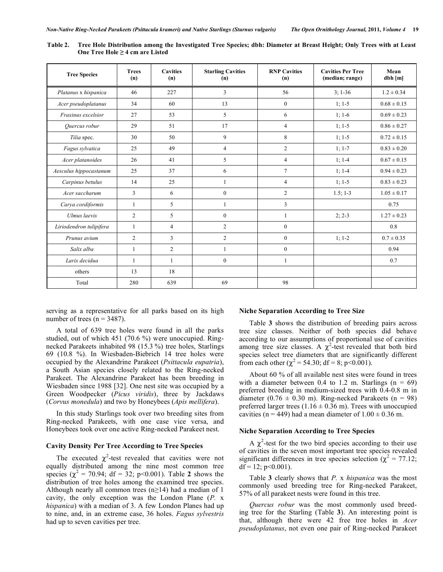| <b>Tree Species</b>     | <b>Trees</b><br>(n) | <b>Cavities</b><br>(n) | <b>Starling Cavities</b><br>(n) | <b>RNP Cavities</b><br>(n) | <b>Cavities Per Tree</b><br>(median; range) | Mean<br>dbh[m]  |
|-------------------------|---------------------|------------------------|---------------------------------|----------------------------|---------------------------------------------|-----------------|
| Platanus x hispanica    | 46                  | 227                    | 3                               | 56                         | $3:1-36$                                    | $1.2 \pm 0.34$  |
| Acer pseudoplatanus     | 34                  | 60                     | 13                              | $\mathbf{0}$               | $1:1-5$                                     | $0.68 \pm 0.15$ |
| Fraxinus excelsior      | 27                  | 53                     | 5                               | 6                          | $1:1-6$                                     | $0.69 \pm 0.23$ |
| Quercus robur           | 29                  | 51                     | 17                              | $\overline{4}$             | $1:1-5$                                     | $0.86 \pm 0.27$ |
| Tilia spec.             | 30                  | 50                     | 9                               | 8                          | $1:1-5$                                     | $0.72 \pm 0.15$ |
| Fagus sylvatica         | 25                  | 49                     | $\overline{4}$                  | $\overline{c}$             | $1; 1-7$                                    | $0.83 \pm 0.20$ |
| Acer platanoides        | 26                  | 41                     | 5                               | $\overline{4}$             | $1:1-4$                                     | $0.67 \pm 0.15$ |
| Aesculus hippocastanum  | 25                  | 37                     | 6                               | $\overline{7}$             | $1; 1-4$                                    | $0.94 \pm 0.23$ |
| Carpinus betulus        | 14                  | 25                     |                                 | $\overline{4}$             | $1; 1-5$                                    | $0.83 \pm 0.23$ |
| Acer saccharum          | 3                   | 6                      | $\overline{0}$                  | $\overline{c}$             | $1.5; 1-3$                                  | $1.05 \pm 0.17$ |
| Carya cordiformis       | 1                   | 5                      | 1                               | 3                          |                                             | 0.75            |
| Ulmus laevis            | 2                   | 5                      | $\mathbf{0}$                    | 1                          | $2; 2-3$                                    | $1.27 \pm 0.23$ |
| Liriodendron tulipifera | $\mathbf{1}$        | $\overline{4}$         | $\overline{c}$                  | $\mathbf{0}$               |                                             | 0.8             |
| Prunus avium            | 2                   | 3                      | $\overline{c}$                  | $\boldsymbol{0}$           | $1; 1-2$                                    | $0.7 \pm 0.35$  |
| Salix alba              | 1                   | $\overline{2}$         | 1                               | $\overline{0}$             |                                             | 0.94            |
| Larix decidua           | 1                   |                        | $\boldsymbol{0}$                | 1                          |                                             | 0.7             |
| others                  | 13                  | 18                     |                                 |                            |                                             |                 |
| Total                   | 280                 | 639                    | 69                              | 98                         |                                             |                 |

Table 2. Tree Hole Distribution among the Investigated Tree Species; dbh: Diameter at Breast Height; Only Trees with at Least **One Tree Hole ≥ 4 cm are Listed**

serving as a representative for all parks based on its high number of trees ( $n = 3487$ ).

A total of 639 tree holes were found in all the parks studied, out of which 451 (70.6 %) were unoccupied. Ringnecked Parakeets inhabited 98 (15.3 %) tree holes, Starlings 69 (10.8 %). In Wiesbaden-Biebrich 14 tree holes were occupied by the Alexandrine Parakeet (*Psittacula eupatria*), a South Asian species closely related to the Ring-necked Parakeet. The Alexandrine Parakeet has been breeding in Wiesbaden since 1988 [32]. One nest site was occupied by a Green Woodpecker (*Picus viridis*), three by Jackdaws (*Corvus monedula*) and two by Honeybees (*Apis mellifera*).

In this study Starlings took over two breeding sites from Ring-necked Parakeets, with one case vice versa, and Honeybees took over one active Ring-necked Parakeet nest.

## **Cavity Density Per Tree According to Tree Species**

The executed  $\chi^2$ -test revealed that cavities were not equally distributed among the nine most common tree species  $(\chi^2 = 70.94; df = 32; p<0.001)$ . Table 2 shows the distribution of tree holes among the examined tree species. Although nearly all common trees (n≥14) had a median of 1 cavity, the only exception was the London Plane (*P.* x *hispanica*) with a median of 3. A few London Planes had up to nine, and, in an extreme case, 36 holes. *Fagus sylvestris* had up to seven cavities per tree.

### **Niche Separation According to Tree Size**

Table **3** shows the distribution of breeding pairs across tree size classes. Neither of both species did behave according to our assumptions of proportional use of cavities among tree size classes. A  $\chi^2$ -test revealed that both bird species select tree diameters that are significantly different from each other ( $\chi^2$  = 54.30; df = 8; p<0.001).

About 60 % of all available nest sites were found in trees with a diameter between 0.4 to 1.2 m. Starlings  $(n = 69)$ preferred breeding in medium-sized trees with 0.4-0.8 m in diameter (0.76  $\pm$  0.30 m). Ring-necked Parakeets (n = 98) preferred larger trees (1.16  $\pm$  0.36 m). Trees with unoccupied cavities (n = 449) had a mean diameter of  $1.00 \pm 0.36$  m.

#### **Niche Separation According to Tree Species**

A  $\chi^2$ -test for the two bird species according to their use of cavities in the seven most important tree species revealed significant differences in tree species selection ( $\chi^2$  = 77.12;  $df = 12$ ;  $p < 0.001$ ).

Table **3** clearly shows that *P.* x *hispanica* was the most commonly used breeding tree for Ring-necked Parakeet, 57% of all parakeet nests were found in this tree.

*Quercus robur* was the most commonly used breeding tree for the Starling (Table **3**). An interesting point is that, although there were 42 free tree holes in *Acer pseudoplatanus*, not even one pair of Ring-necked Parakeet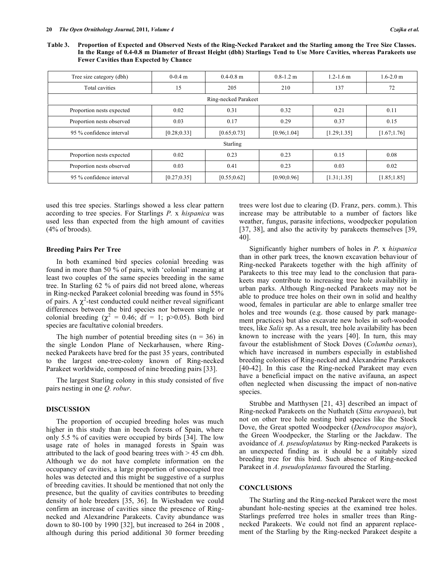Table 3. Proportion of Expected and Observed Nests of the Ring-Necked Parakeet and the Starling among the Tree Size Classes. In the Range of 0.4-0.8 m Diameter of Breast Height (dbh) Starlings Tend to Use More Cavities, whereas Parakeets use **Fewer Cavities than Expected by Chance**

| Tree size category (dbh)  | $0-0.4$ m    | $0.4 - 0.8$ m | $0.8 - 1.2$ m | $1.2 - 1.6$ m | $1.6 - 2.0$ m |  |  |
|---------------------------|--------------|---------------|---------------|---------------|---------------|--|--|
| Total cavities            | 15           | 205           | 210           | 137           | 72            |  |  |
| Ring-necked Parakeet      |              |               |               |               |               |  |  |
| Proportion nests expected | 0.02         | 0.31          | 0.32          | 0.21          | 0.11          |  |  |
| Proportion nests observed | 0.03         | 0.17          | 0.29          | 0.37          | 0.15          |  |  |
| 95 % confidence interval  | [0.28; 0.33] | [0.65; 0.73]  | [0.96; 1.04]  | [1.29; 1.35]  | [1.67;1.76]   |  |  |
| Starling                  |              |               |               |               |               |  |  |
| Proportion nests expected | 0.02         | 0.23          | 0.23          | 0.15          | 0.08          |  |  |
| Proportion nests observed | 0.03         | 0.41          | 0.23          | 0.03          | 0.02          |  |  |
| 95 % confidence interval  | [0.27; 0.35] | [0.55; 0.62]  | [0.90; 0.96]  | [1.31; 1.35]  | [1.85; 1.85]  |  |  |

used this tree species. Starlings showed a less clear pattern according to tree species. For Starlings *P.* x *hispanica* was used less than expected from the high amount of cavities (4% of broods).

## **Breeding Pairs Per Tree**

In both examined bird species colonial breeding was found in more than 50 % of pairs, with 'colonial' meaning at least two couples of the same species breeding in the same tree. In Starling 62 % of pairs did not breed alone, whereas in Ring-necked Parakeet colonial breeding was found in 55% of pairs. A  $\chi^2$ -test conducted could neither reveal significant differences between the bird species nor between single or colonial breeding ( $\chi^2 = 0.46$ ; df = 1; p>0.05). Both bird species are facultative colonial breeders.

The high number of potential breeding sites  $(n = 36)$  in the single London Plane of Neckarhausen, where Ringnecked Parakeets have bred for the past 35 years, contributed to the largest one-tree-colony known of Ring-necked Parakeet worldwide, composed of nine breeding pairs [33].

The largest Starling colony in this study consisted of five pairs nesting in one *Q. robur*.

## **DISCUSSION**

The proportion of occupied breeding holes was much higher in this study than in beech forests of Spain, where only 5.5 % of cavities were occupied by birds [34]. The low usage rate of holes in managed forests in Spain was attributed to the lack of good bearing trees with  $> 45$  cm dbh. Although we do not have complete information on the occupancy of cavities, a large proportion of unoccupied tree holes was detected and this might be suggestive of a surplus of breeding cavities. It should be mentioned that not only the presence, but the quality of cavities contributes to breeding density of hole breeders [35, 36]. In Wiesbaden we could confirm an increase of cavities since the presence of Ringnecked and Alexandrine Parakeets. Cavity abundance was down to 80-100 by 1990 [32], but increased to 264 in 2008 , although during this period additional 30 former breeding trees were lost due to clearing (D. Franz, pers. comm.). This increase may be attributable to a number of factors like weather, fungus, parasite infections, woodpecker population [37, 38], and also the activity by parakeets themselves [39, 40].

Significantly higher numbers of holes in *P.* x *hispanica* than in other park trees, the known excavation behaviour of Ring-necked Parakeets together with the high affinity of Parakeets to this tree may lead to the conclusion that parakeets may contribute to increasing tree hole availability in urban parks. Although Ring-necked Parakeets may not be able to produce tree holes on their own in solid and healthy wood, females in particular are able to enlarge smaller tree holes and tree wounds (e.g. those caused by park management practices) but also excavate new holes in soft-wooded trees, like *Salix* sp. As a result, tree hole availability has been known to increase with the years [40]. In turn, this may favour the establishment of Stock Doves (*Columba oenas*), which have increased in numbers especially in established breeding colonies of Ring-necked and Alexandrine Parakeets [40-42]. In this case the Ring-necked Parakeet may even have a beneficial impact on the native avifauna, an aspect often neglected when discussing the impact of non-native species.

Strubbe and Matthysen [21, 43] described an impact of Ring-necked Parakeets on the Nuthatch (*Sitta europaea*), but not on other tree hole nesting bird species like the Stock Dove, the Great spotted Woodpecker (*Dendrocopos major*), the Green Woodpecker, the Starling or the Jackdaw. The avoidance of *A. pseudoplatanus* by Ring-necked Parakeets is an unexpected finding as it should be a suitably sized breeding tree for this bird. Such absence of Ring-necked Parakeet in *A. pseudoplatanus* favoured the Starling.

### **CONCLUSIONS**

The Starling and the Ring-necked Parakeet were the most abundant hole-nesting species at the examined tree holes. Starlings preferred tree holes in smaller trees than Ringnecked Parakeets. We could not find an apparent replacement of the Starling by the Ring-necked Parakeet despite a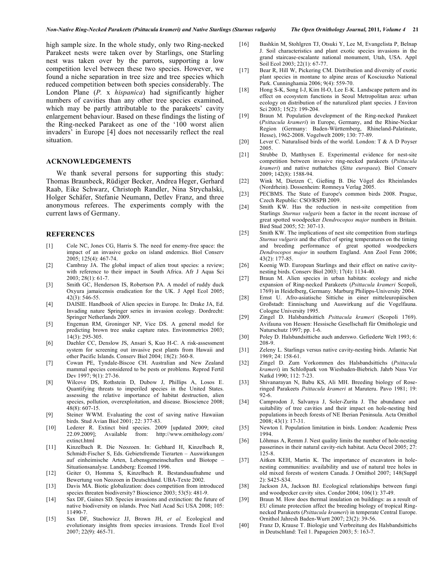high sample size. In the whole study, only two Ring-necked Parakeet nests were taken over by Starlings, one Starling nest was taken over by the parrots, supporting a low competition level between these two species. However, we found a niche separation in tree size and tree species which reduced competition between both species considerably. The London Plane (*P.* x *hispanica*) had significantly higher numbers of cavities than any other tree species examined, which may be partly attributable to the parakeets' cavity enlargement behaviour. Based on these findings the listing of the Ring-necked Parakeet as one of the '100 worst alien invaders' in Europe [4] does not necessarily reflect the real situation.

#### **ACKNOWLEDGEMENTS**

We thank several persons for supporting this study: Thomas Braunbeck, Rüdiger Becker, Andrea Heger, Gerhard Raab, Eike Schwarz, Christoph Randler, Nina Strychalski, Holger Schäfer, Stefanie Neumann, Detlev Franz, and three anonymous referees. The experiments comply with the current laws of Germany.

## **REFERENCES**

- [1] Cole NC, Jones CG, Harris S. The need for enemy-free space: the impact of an invasive gecko on island endemics. Biol Conserv 2005; 125(4): 467-74.
- [2] Cambray JA. The global impact of alien trout species: a review; with reference to their impact in South Africa. Afr J Aqua Sci 2003; 28(1): 61-7.
- [3] Smith GC, Henderson IS, Robertson PA. A model of ruddy duck Oxyura jamaicensis eradication for the UK. J Appl Ecol 2005; 42(3): 546-55.
- [4] DAISIE. Handbook of Alien species in Europe. In: Drake JA, Ed. Invading nature Springer series in invasion ecology. Dordrecht: Springer Netherlands 2009.
- [5] Engeman RM, Groninger NP, Vice DS. A general model for predicting brown tree snake capture rates. Environmetrics 2003; 14(3): 295-305.
- [6] Daehler CC, Denslow JS, Ansari S, Kuo H-C. A risk-assessment system for screening out invasive pest plants from Hawaii and other Pacific Islands. Conserv Biol 2004; 18(2): 360-8.
- [7] Cowan PE, Tyndale-Biscoe CH. Australian and New Zealand mammal species considered to be pests or problems. Reprod Fertil Dev 1997; 9(1): 27-36.
- [8] Wilcove DS, Rothstein D, Dubow J, Phillips A, Losos E. Quantifying threats to imperiled species in the United States. assessing the relative importance of habitat destruction, alien species, pollution, overexploitation, and disease. Bioscience 2008;  $48(8): 607-15.$
- [9] Steiner WWM. Evaluating the cost of saving native Hawaiian birds. Stud Avian Biol 2001; 22: 377-83.
- [10] Lederer R. Extinct bird species. 2009 [updated 2009; cited 22.09.2009]; Available from: http://www.ornithology.com/ extinct.html
- [11] Kinzelbach R. Die Neozoen. In: Gebhard H, Kinzelbach R, Schmidt-Fischer S, Eds. Gebietsfremde Tierarten – Auswirkungen auf einheimische Arten, Lebensgemeinschaften und Biotope – Situationsanalyse. Landsberg: Ecomed 1996.
- [12] Geiter O, Homma S, Kinzelbach R. Bestandsaufnahme und Bewertung von Neozoen in Deutschland. UBA-Texte 2002.
- [13] Davis MA. Biotic globalization: does competition from introduced species threaten biodiversity? Bioscience 2003; 53(5): 481-9.
- [14] Sax DF, Gaines SD. Species invasions and extinction: the future of native biodiversity on islands. Proc Natl Acad Sci USA 2008; 105: 11490-7.
- [15] Sax DF, Stachowicz JJ, Brown JH, *et al.* Ecological and evolutionary insights from species invasions. Trends Ecol Evol 2007; 22(9): 465-71.
- [16] Bashkin M, Stohlgren TJ, Otsuki Y, Lee M, Evangelista P, Belnap J. Soil characteristics and plant exotic species invasions in the grand staircase-escalante national monument, Utah, USA. Appl Soil Ecol 2003; 22(1): 67-77.
- [17] Bear R, Hill W, Pickering CM. Distribution and diversity of exotic plant species in montane to alpine areas of Kosciuszko National Park. Cunninghamia 2006; 9(4): 559-70.
- [18] Hong S-K, Song I-J, Kim H-O, Lee E-K. Landscape pattern and its effect on ecosystem functions in Seoul Metropolitan area: urban ecology on distribution of the naturalized plant species. J Environ Sci 2003; 15(2): 199-204.
- [19] Braun M. Population development of the Ring-necked Parakeet (*Psittacula krameri*) in Europe, Germany, and the Rhine-Neckar Region (Germany: Baden-Württemberg, Rhineland-Palatinate, Hesse), 1962-2008. Vogelwelt 2009; 130: 77-89.
- [20] Lever C. Naturalised birds of the world. London: T & A D Poyser 2005.
- [21] Strubbe D, Matthysen E. Experimental evidence for nest-site competition between invasive ring-necked parakeets (*Psittacula krameri*) and native nuthatches (*Sitta europaea*). Biol Conserv 2009; 142(8): 1588-94.
- [22] Wink M, Dietzen C, Gießing B. Die Vögel des Rheinlandes (Nordrhein). Dossenheim: Romneya Verlag 2005.
- [23] PECBMS. The State of Europe's common birds 2008. Prague, Czech Republic: CSO/RSPB 2009.
- [24] Smith KW. Has the reduction in nest-site competition from Starlings *Sturnus vulgaris* been a factor in the recent increase of great spotted woodpecker *Dendrocopos major* numbers in Britain. Bird Stud 2005; 52: 307-13.
- [25] Smith KW. The implications of nest site competition from starlings *Sturnus vulgaris* and the effect of spring temperatures on the timing and breeding performance of great spotted woodpeckers *Dendrocopos major* in southern England. Ann Zool Fenn 2006; 43(2): 177-85.
- [26] Koenig WD. European Starlings and their effect on native cavitynesting birds. Conserv Biol 2003; 17(4): 1134-40.
- [27] Braun M. Alien species in urban habitats: ecology and niche expansion of Ring-necked Parakeets (*Psittacula krameri* Scopoli, 1769) in Heidelberg, Germany. Marburg Philipps-University 2004.
- [28] Ernst U. Afro-asiatische Sittiche in einer mitteleuropäischen Großstadt: Einnischung und Auswirkung auf die Vogelfauna. Cologne University 1995.
- [29] Zingel D. Halsbandsittich *Psittacula krameri* (Scopoli 1769). Avifauna von Hessen: Hessische Gesellschaft für Ornithologie und Naturschutz 1997; pp. 1-6.
- [30] Poley D. Halsbandsittiche auch anderswo. Gefiederte Welt 1993; 6: 208-9.
- [31] Zeleny L. Starlings versus native cavity-nesting birds. Atlantic Nat 1969; 24: 158-61.
- [32] Zingel D. Zum Vorkommen des Halsbandsittichs (*Psittacula krameri*) im Schloßpark von Wiesbaden-Biebrich. Jahrb Nass Ver Natkd 1990; 112: 7-23.
- [33] Shivanarayan N, Babu KS, Ali MH. Breeding biology of Roseringed Parakeets *Psittacula krameri* at Maruteru. Pavo 1981; 19: 92-6.
- [34] Camprodon J, Salvanya J, Soler-Zurita J. The abundance and suitability of tree cavities and their impact on hole-nesting bird populations in beech forests of NE Iberian Peninsula. Acta Ornithol 2008; 43(1): 17-31.
- [35] Newton I. Population limitation in birds. London: Academic Press 1994.
- [36] Lõhmus A, Remm J. Nest quality limits the number of hole-nesting passerines in their natural cavity-rich habitat. Acta Oecol 2005; 27: 125-8.
- [37] Aitken KEH, Martin K. The importance of excavators in holenesting communities: availability and use of natural tree holes in old mixed forests of western Canada. J Ornithol 2007; 148(Suppl 2): S425-S34.
- [38] Jackson JA, Jackson BJ. Ecological relationships between fungi and woodpecker cavity sites. Condor 2004; 106(1): 37-49.
- [39] Braun M. How does thermal insulation on buildings: as a result of EU climate protection affect the breeding biology of tropical Ringnecked Parakeets (*Psittacula krameri*) in temperate Central Europe. Ornithol Jahresh Baden-Wurtt 2007; 23(2): 39-56.
- [40] Franz D, Krause T. Biologie und Verbreitung des Halsbandsittichs in Deutschland: Teil 1. Papageien 2003; 5: 163-7.